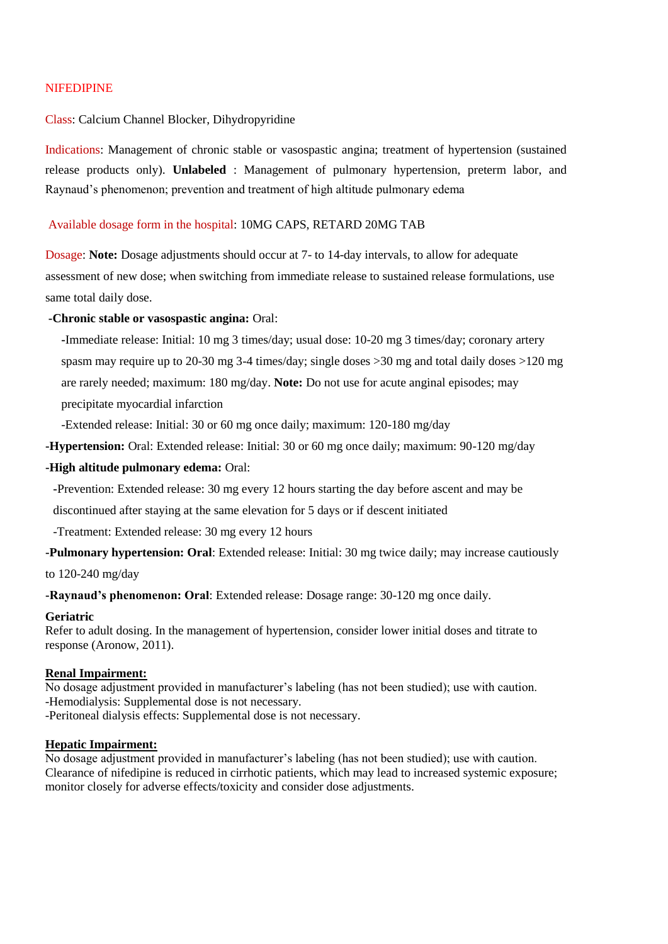# NIFEDIPINE

## Class: Calcium Channel Blocker, Dihydropyridine

Indications: Management of chronic stable or vasospastic angina; treatment of hypertension (sustained release products only). **Unlabeled** : Management of pulmonary hypertension, preterm labor, and Raynaud's phenomenon; prevention and treatment of high altitude pulmonary edema

## Available dosage form in the hospital: 10MG CAPS, RETARD 20MG TAB

Dosage: **Note:** Dosage adjustments should occur at 7- to 14-day intervals, to allow for adequate assessment of new dose; when switching from immediate release to sustained release formulations, use same total daily dose.

# **-Chronic stable or vasospastic angina:** Oral:

**-**Immediate release: Initial: 10 mg 3 times/day; usual dose: 10-20 mg 3 times/day; coronary artery spasm may require up to 20-30 mg 3-4 times/day; single doses >30 mg and total daily doses >120 mg are rarely needed; maximum: 180 mg/day. **Note:** Do not use for acute anginal episodes; may precipitate myocardial infarction

-Extended release: Initial: 30 or 60 mg once daily; maximum: 120-180 mg/day

**-Hypertension:** Oral: Extended release: Initial: 30 or 60 mg once daily; maximum: 90-120 mg/day

## **-High altitude pulmonary edema:** Oral:

**-**Prevention: Extended release: 30 mg every 12 hours starting the day before ascent and may be

discontinued after staying at the same elevation for 5 days or if descent initiated

-Treatment: Extended release: 30 mg every 12 hours

**-Pulmonary hypertension: Oral**: Extended release: Initial: 30 mg twice daily; may increase cautiously

to 120-240 mg/day

**-Raynaud's phenomenon: Oral**: Extended release: Dosage range: 30-120 mg once daily.

### **Geriatric**

Refer to adult dosing. In the management of hypertension, consider lower initial doses and titrate to response (Aronow, 2011).

### **Renal Impairment:**

No dosage adjustment provided in manufacturer's labeling (has not been studied); use with caution. -Hemodialysis: Supplemental dose is not necessary. -Peritoneal dialysis effects: Supplemental dose is not necessary.

### **Hepatic Impairment:**

No dosage adjustment provided in manufacturer's labeling (has not been studied); use with caution. Clearance of nifedipine is reduced in cirrhotic patients, which may lead to increased systemic exposure; monitor closely for adverse effects/toxicity and consider dose adjustments.